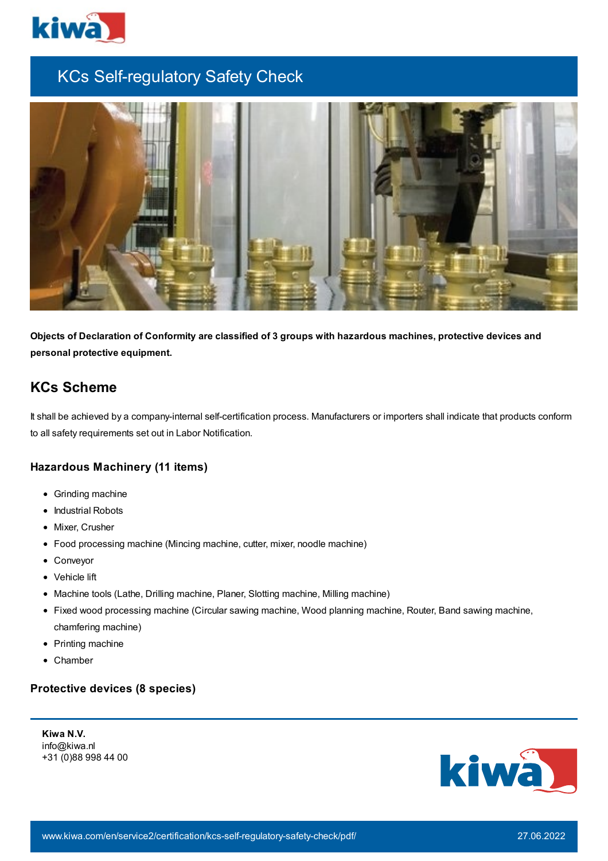

# KCs Self-regulatory Safety Check



**Objects of Declaration of Conformity are classified of 3 groups with hazardous machines, protective devices and personal protective equipment.**

# **KCs Scheme**

It shall be achieved by a company-internal self-certification process. Manufacturers or importers shall indicate that products conform to all safety requirements set out in Labor Notification.

#### **Hazardous Machinery (11 items)**

- Grinding machine
- Industrial Robots
- Mixer, Crusher
- Food processing machine (Mincing machine, cutter, mixer, noodle machine)
- Conveyor
- Vehicle lift
- Machine tools (Lathe, Drilling machine, Planer, Slotting machine, Milling machine)
- Fixed wood processing machine (Circular sawing machine, Wood planning machine, Router, Band sawing machine, chamfering machine)
- Printing machine
- Chamber

#### **Protective devices (8 species)**

**Kiwa N.V.** info@kiwa.nl +31 (0)88 998 44 00